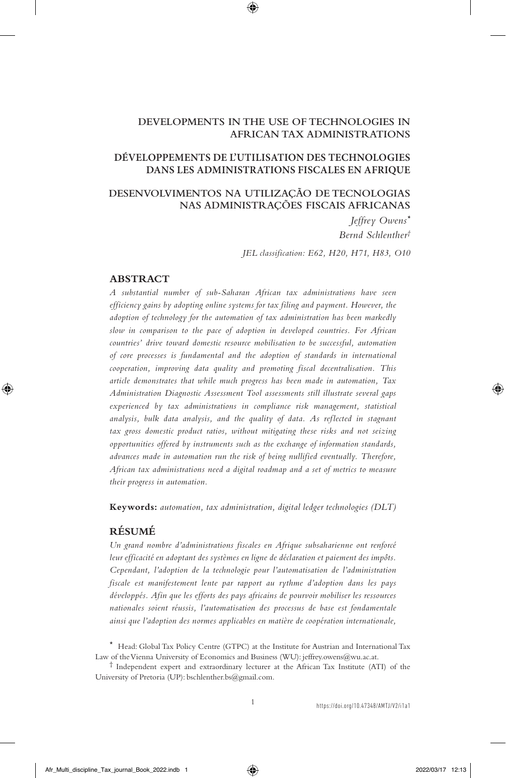### **DEVELOPMENTS IN THE USE OF TECHNOLOGIES IN AFRICAN TAX ADMINISTRATIONS**

### **DÉVELOPPEMENTS DE L'UTILISATION DES TECHNOLOGIES DANS LES ADMINISTRATIONS FISCALES EN AFRIQUE**

# **DESENVOLVIMENTOS NA UTILIZAÇÃO DE TECNOLOGIAS NAS ADMINISTRAÇÕES FISCAIS AFRICANAS**

*Jeffrey Owens\* Bernd Schlenther†*

*JEL classification: E62, H20, H71, H83, O10*

#### **ABSTRACT**

*A substantial number of sub-Saharan African tax administrations have seen efficiency gains by adopting online systems for tax filing and payment. However, the adoption of technology for the automation of tax administration has been markedly slow in comparison to the pace of adoption in developed countries. For African countries' drive toward domestic resource mobilisation to be successful, automation of core processes is fundamental and the adoption of standards in international cooperation, improving data quality and promoting fiscal decentralisation. This article demonstrates that while much progress has been made in automation, Tax Administration Diagnostic Assessment Tool assessments still illustrate several gaps*  experienced by tax administrations in compliance risk management, statistical *analysis, bulk data analysis, and the quality of data. As reflected in stagnant tax gross domestic product ratios, without mitigating these risks and not seizing opportunities offered by instruments such as the exchange of information standards, advances made in automation run the risk of being nullified eventually. Therefore, African tax administrations need a digital roadmap and a set of metrics to measure their progress in automation.*

**Keywords:** *automation, tax administration, digital ledger technologies (DLT)*

# **RÉSUMÉ**

*Un grand nombre d'administrations fiscales en Afrique subsaharienne ont renforcé leur efficacité en adoptant des systèmes en ligne de déclaration et paiement des impôts. Cependant, l'adoption de la technologie pour l'automatisation de l'administration fiscale est manifestement lente par rapport au rythme d'adoption dans les pays développés. Afin que les efforts des pays africains de pourvoir mobiliser les ressources nationales soient réussis, l'automatisation des processus de base est fondamentale ainsi que l'adoption des normes applicables en matière de coopération internationale,* 

<sup>\*</sup> Head: Global Tax Policy Centre (GTPC) at the Institute for Austrian and International Tax Law of the Vienna University of Economics and Business (WU): jeffrey.owens@wu.ac.at.

<sup>†</sup> Independent expert and extraordinary lecturer at the African Tax Institute (ATI) of the University of Pretoria (UP): bschlenther.bs@gmail.com.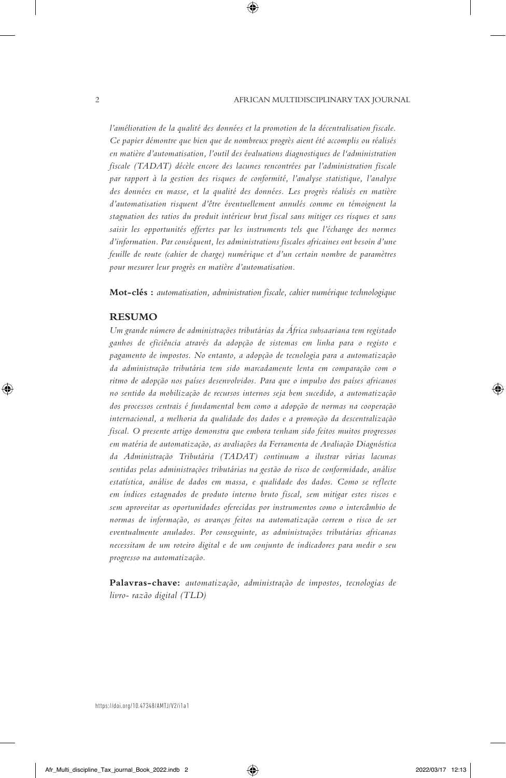*l'amélioration de la qualité des données et la promotion de la décentralisation fiscale. Ce papier démontre que bien que de nombreux progrès aient été accomplis ou réalisés en matière d'automatisation, l'outil des évaluations diagnostiques de l'administration fiscale (TADAT) décèle encore des lacunes rencontrées par l'administration fiscale par rapport à la gestion des risques de conformité, l'analyse statistique, l'analyse des données en masse, et la qualité des données. Les progrès réalisés en matière d'automatisation risquent d'être éventuellement annulés comme en témoignent la stagnation des ratios du produit intérieur brut fiscal sans mitiger ces risques et sans saisir les opportunités offertes par les instruments tels que l'échange des normes d'information. Par conséquent, les administrations fiscales africaines ont besoin d'une feuille de route (cahier de charge) numérique et d'un certain nombre de paramètres pour mesurer leur progrès en matière d'automatisation.*

**Mot-clés :** *automatisation, administration fiscale, cahier numérique technologique*

#### **RESUMO**

*Um grande número de administrações tributárias da África subsaariana tem registado ganhos de eficiência através da adopção de sistemas em linha para o registo e pagamento de impostos. No entanto, a adopção de tecnologia para a automatização da administração tributária tem sido marcadamente lenta em comparação com o ritmo de adopção nos países desenvolvidos. Para que o impulso dos países africanos no sentido da mobilização de recursos internos seja bem sucedido, a automatização dos processos centrais é fundamental bem como a adopção de normas na cooperação internacional, a melhoria da qualidade dos dados e a promoção da descentralização fiscal. O presente artigo demonstra que embora tenham sido feitos muitos progressos em matéria de automatização, as avaliações da Ferramenta de Avaliação Diagnóstica da Administração Tributária (TADAT) continuam a ilustrar várias lacunas sentidas pelas administrações tributárias na gestão do risco de conformidade, análise estatística, análise de dados em massa, e qualidade dos dados. Como se reflecte em índices estagnados de produto interno bruto fiscal, sem mitigar estes riscos e sem aproveitar as oportunidades oferecidas por instrumentos como o intercâmbio de normas de informação, os avanços feitos na automatização correm o risco de ser eventualmente anulados. Por conseguinte, as administrações tributárias africanas necessitam de um roteiro digital e de um conjunto de indicadores para medir o seu progresso na automatização.*

**Palavras-chave:** *automatização, administração de impostos, tecnologias de livro- razão digital (TLD)*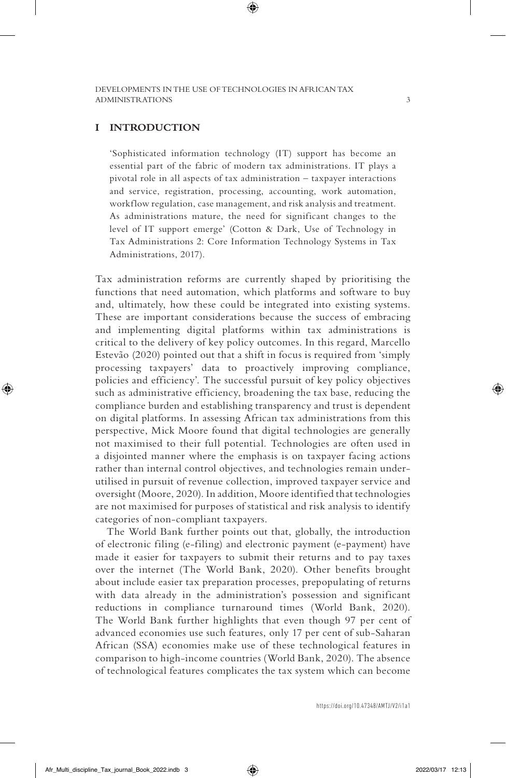#### **I INTRODUCTION**

'Sophisticated information technology (IT) support has become an essential part of the fabric of modern tax administrations. IT plays a pivotal role in all aspects of tax administration – taxpayer interactions and service, registration, processing, accounting, work automation, workflow regulation, case management, and risk analysis and treatment. As administrations mature, the need for significant changes to the level of IT support emerge' (Cotton & Dark, Use of Technology in Tax Administrations 2: Core Information Technology Systems in Tax Administrations, 2017).

Tax administration reforms are currently shaped by prioritising the functions that need automation, which platforms and software to buy and, ultimately, how these could be integrated into existing systems. These are important considerations because the success of embracing and implementing digital platforms within tax administrations is critical to the delivery of key policy outcomes. In this regard, Marcello Estevão (2020) pointed out that a shift in focus is required from 'simply processing taxpayers' data to proactively improving compliance, policies and efficiency'. The successful pursuit of key policy objectives such as administrative efficiency, broadening the tax base, reducing the compliance burden and establishing transparency and trust is dependent on digital platforms. In assessing African tax administrations from this perspective, Mick Moore found that digital technologies are generally not maximised to their full potential. Technologies are often used in a disjointed manner where the emphasis is on taxpayer facing actions rather than internal control objectives, and technologies remain underutilised in pursuit of revenue collection, improved taxpayer service and oversight (Moore, 2020). In addition, Moore identified that technologies are not maximised for purposes of statistical and risk analysis to identify categories of non-compliant taxpayers.

The World Bank further points out that, globally, the introduction of electronic filing (e-filing) and electronic payment (e-payment) have made it easier for taxpayers to submit their returns and to pay taxes over the internet (The World Bank, 2020). Other benefits brought about include easier tax preparation processes, prepopulating of returns with data already in the administration's possession and significant reductions in compliance turnaround times (World Bank, 2020). The World Bank further highlights that even though 97 per cent of advanced economies use such features, only 17 per cent of sub-Saharan African (SSA) economies make use of these technological features in comparison to high-income countries (World Bank, 2020). The absence of technological features complicates the tax system which can become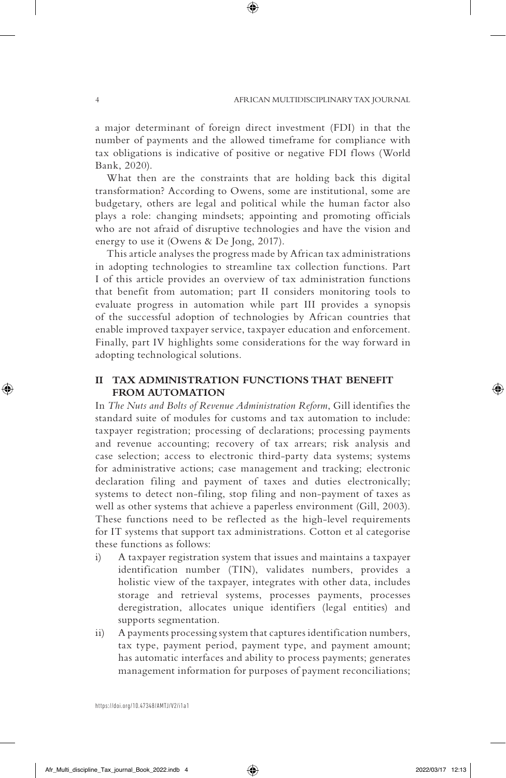a major determinant of foreign direct investment (FDI) in that the number of payments and the allowed timeframe for compliance with tax obligations is indicative of positive or negative FDI flows (World Bank, 2020).

What then are the constraints that are holding back this digital transformation? According to Owens, some are institutional, some are budgetary, others are legal and political while the human factor also plays a role: changing mindsets; appointing and promoting officials who are not afraid of disruptive technologies and have the vision and energy to use it (Owens & De Jong, 2017).

This article analyses the progress made by African tax administrations in adopting technologies to streamline tax collection functions. Part I of this article provides an overview of tax administration functions that benefit from automation; part II considers monitoring tools to evaluate progress in automation while part III provides a synopsis of the successful adoption of technologies by African countries that enable improved taxpayer service, taxpayer education and enforcement. Finally, part IV highlights some considerations for the way forward in adopting technological solutions.

## **II TAX ADMINISTRATION FUNCTIONS THAT BENEFIT FROM AUTOMATION**

In *The Nuts and Bolts of Revenue Administration Reform*, Gill identifies the standard suite of modules for customs and tax automation to include: taxpayer registration; processing of declarations; processing payments and revenue accounting; recovery of tax arrears; risk analysis and case selection; access to electronic third-party data systems; systems for administrative actions; case management and tracking; electronic declaration filing and payment of taxes and duties electronically; systems to detect non-filing, stop filing and non-payment of taxes as well as other systems that achieve a paperless environment (Gill, 2003). These functions need to be reflected as the high-level requirements for IT systems that support tax administrations. Cotton et al categorise these functions as follows:

- i) A taxpayer registration system that issues and maintains a taxpayer identification number (TIN), validates numbers, provides a holistic view of the taxpayer, integrates with other data, includes storage and retrieval systems, processes payments, processes deregistration, allocates unique identifiers (legal entities) and supports segmentation.
- ii) A payments processing system that captures identification numbers, tax type, payment period, payment type, and payment amount; has automatic interfaces and ability to process payments; generates management information for purposes of payment reconciliations;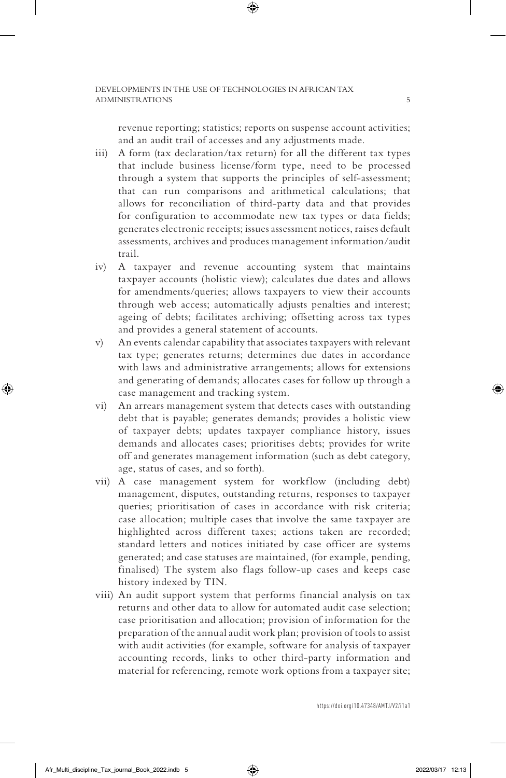revenue reporting; statistics; reports on suspense account activities; and an audit trail of accesses and any adjustments made.

- iii) A form (tax declaration/tax return) for all the different tax types that include business license/form type, need to be processed through a system that supports the principles of self-assessment; that can run comparisons and arithmetical calculations; that allows for reconciliation of third-party data and that provides for configuration to accommodate new tax types or data fields; generates electronic receipts; issues assessment notices, raises default assessments, archives and produces management information/audit trail.
- iv) A taxpayer and revenue accounting system that maintains taxpayer accounts (holistic view); calculates due dates and allows for amendments/queries; allows taxpayers to view their accounts through web access; automatically adjusts penalties and interest; ageing of debts; facilitates archiving; offsetting across tax types and provides a general statement of accounts.
- v) An events calendar capability that associates taxpayers with relevant tax type; generates returns; determines due dates in accordance with laws and administrative arrangements; allows for extensions and generating of demands; allocates cases for follow up through a case management and tracking system.
- vi) An arrears management system that detects cases with outstanding debt that is payable; generates demands; provides a holistic view of taxpayer debts; updates taxpayer compliance history, issues demands and allocates cases; prioritises debts; provides for write off and generates management information (such as debt category, age, status of cases, and so forth).
- vii) A case management system for workflow (including debt) management, disputes, outstanding returns, responses to taxpayer queries; prioritisation of cases in accordance with risk criteria; case allocation; multiple cases that involve the same taxpayer are highlighted across different taxes; actions taken are recorded; standard letters and notices initiated by case officer are systems generated; and case statuses are maintained, (for example, pending, finalised) The system also flags follow-up cases and keeps case history indexed by TIN.
- viii) An audit support system that performs financial analysis on tax returns and other data to allow for automated audit case selection; case prioritisation and allocation; provision of information for the preparation of the annual audit work plan; provision of tools to assist with audit activities (for example, software for analysis of taxpayer accounting records, links to other third-party information and material for referencing, remote work options from a taxpayer site;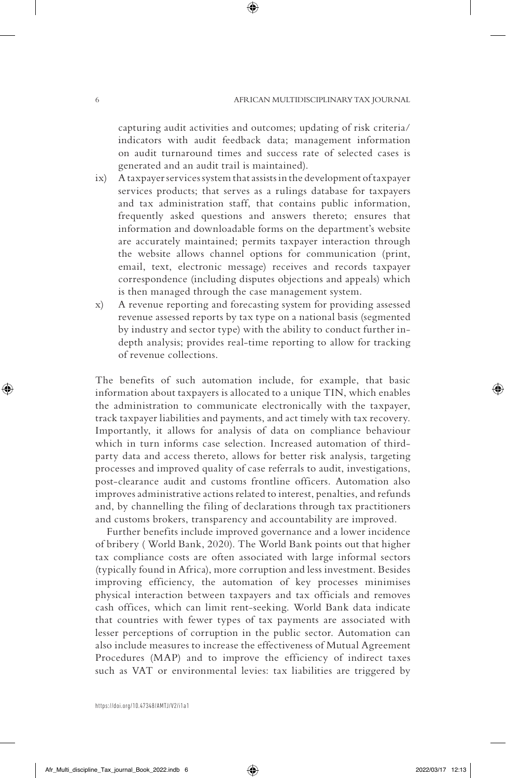capturing audit activities and outcomes; updating of risk criteria/ indicators with audit feedback data; management information on audit turnaround times and success rate of selected cases is generated and an audit trail is maintained).

- ix) A taxpayer services system that assists in the development of taxpayer services products; that serves as a rulings database for taxpayers and tax administration staff, that contains public information, frequently asked questions and answers thereto; ensures that information and downloadable forms on the department's website are accurately maintained; permits taxpayer interaction through the website allows channel options for communication (print, email, text, electronic message) receives and records taxpayer correspondence (including disputes objections and appeals) which is then managed through the case management system.
- x) A revenue reporting and forecasting system for providing assessed revenue assessed reports by tax type on a national basis (segmented by industry and sector type) with the ability to conduct further indepth analysis; provides real-time reporting to allow for tracking of revenue collections.

The benefits of such automation include, for example, that basic information about taxpayers is allocated to a unique TIN, which enables the administration to communicate electronically with the taxpayer, track taxpayer liabilities and payments, and act timely with tax recovery. Importantly, it allows for analysis of data on compliance behaviour which in turn informs case selection. Increased automation of thirdparty data and access thereto, allows for better risk analysis, targeting processes and improved quality of case referrals to audit, investigations, post-clearance audit and customs frontline officers. Automation also improves administrative actions related to interest, penalties, and refunds and, by channelling the filing of declarations through tax practitioners and customs brokers, transparency and accountability are improved.

Further benefits include improved governance and a lower incidence of bribery ( World Bank, 2020). The World Bank points out that higher tax compliance costs are often associated with large informal sectors (typically found in Africa), more corruption and less investment. Besides improving efficiency, the automation of key processes minimises physical interaction between taxpayers and tax officials and removes cash offices, which can limit rent-seeking. World Bank data indicate that countries with fewer types of tax payments are associated with lesser perceptions of corruption in the public sector. Automation can also include measures to increase the effectiveness of Mutual Agreement Procedures (MAP) and to improve the efficiency of indirect taxes such as VAT or environmental levies: tax liabilities are triggered by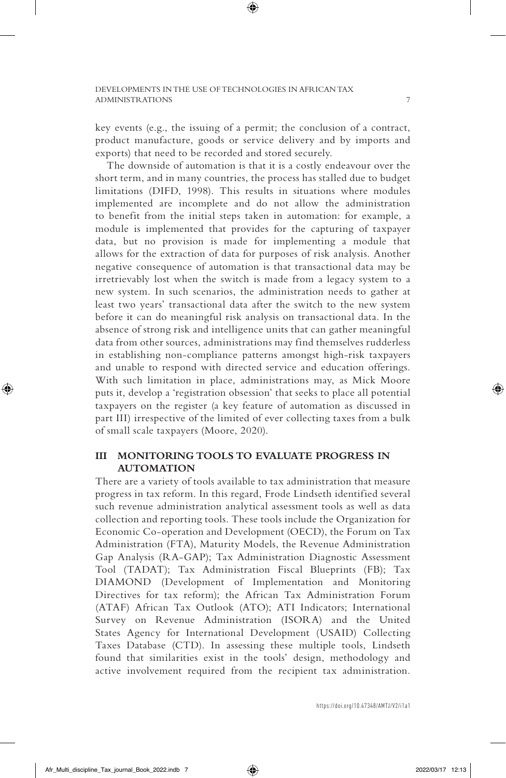key events (e.g., the issuing of a permit; the conclusion of a contract, product manufacture, goods or service delivery and by imports and exports) that need to be recorded and stored securely.

The downside of automation is that it is a costly endeavour over the short term, and in many countries, the process has stalled due to budget limitations (DIFD, 1998). This results in situations where modules implemented are incomplete and do not allow the administration to benefit from the initial steps taken in automation: for example, a module is implemented that provides for the capturing of taxpayer data, but no provision is made for implementing a module that allows for the extraction of data for purposes of risk analysis. Another negative consequence of automation is that transactional data may be irretrievably lost when the switch is made from a legacy system to a new system. In such scenarios, the administration needs to gather at least two years' transactional data after the switch to the new system before it can do meaningful risk analysis on transactional data. In the absence of strong risk and intelligence units that can gather meaningful data from other sources, administrations may find themselves rudderless in establishing non-compliance patterns amongst high-risk taxpayers and unable to respond with directed service and education offerings. With such limitation in place, administrations may, as Mick Moore puts it, develop a 'registration obsession' that seeks to place all potential taxpayers on the register (a key feature of automation as discussed in part III) irrespective of the limited of ever collecting taxes from a bulk of small scale taxpayers (Moore, 2020).

## **III MONITORING TOOLS TO EVALUATE PROGRESS IN AUTOMATION**

There are a variety of tools available to tax administration that measure progress in tax reform. In this regard, Frode Lindseth identified several such revenue administration analytical assessment tools as well as data collection and reporting tools. These tools include the Organization for Economic Co-operation and Development (OECD), the Forum on Tax Administration (FTA), Maturity Models, the Revenue Administration Gap Analysis (RA-GAP); Tax Administration Diagnostic Assessment Tool (TADAT); Tax Administration Fiscal Blueprints (FB); Tax DIAMOND (Development of Implementation and Monitoring Directives for tax reform); the African Tax Administration Forum (ATAF) African Tax Outlook (ATO); ATI Indicators; International Survey on Revenue Administration (ISORA) and the United States Agency for International Development (USAID) Collecting Taxes Database (CTD). In assessing these multiple tools, Lindseth found that similarities exist in the tools' design, methodology and active involvement required from the recipient tax administration.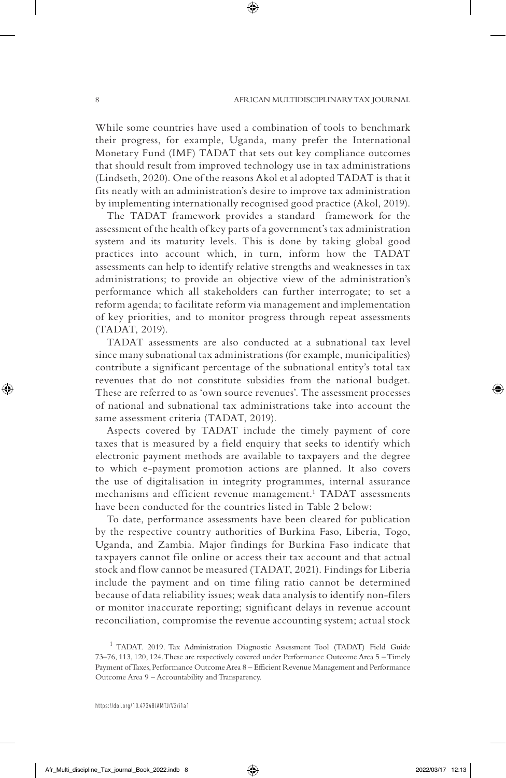While some countries have used a combination of tools to benchmark their progress, for example, Uganda, many prefer the International Monetary Fund (IMF) TADAT that sets out key compliance outcomes that should result from improved technology use in tax administrations (Lindseth, 2020). One of the reasons Akol et al adopted TADAT is that it fits neatly with an administration's desire to improve tax administration by implementing internationally recognised good practice (Akol, 2019).

The TADAT framework provides a standard framework for the assessment of the health of key parts of a government's tax administration system and its maturity levels. This is done by taking global good practices into account which, in turn, inform how the TADAT assessments can help to identify relative strengths and weaknesses in tax administrations; to provide an objective view of the administration's performance which all stakeholders can further interrogate; to set a reform agenda; to facilitate reform via management and implementation of key priorities, and to monitor progress through repeat assessments (TADAT, 2019).

TADAT assessments are also conducted at a subnational tax level since many subnational tax administrations (for example, municipalities) contribute a significant percentage of the subnational entity's total tax revenues that do not constitute subsidies from the national budget. These are referred to as 'own source revenues'. The assessment processes of national and subnational tax administrations take into account the same assessment criteria (TADAT, 2019).

Aspects covered by TADAT include the timely payment of core taxes that is measured by a field enquiry that seeks to identify which electronic payment methods are available to taxpayers and the degree to which e-payment promotion actions are planned. It also covers the use of digitalisation in integrity programmes, internal assurance mechanisms and efficient revenue management.<sup>1</sup> TADAT assessments have been conducted for the countries listed in Table 2 below:

To date, performance assessments have been cleared for publication by the respective country authorities of Burkina Faso, Liberia, Togo, Uganda, and Zambia. Major findings for Burkina Faso indicate that taxpayers cannot file online or access their tax account and that actual stock and flow cannot be measured (TADAT, 2021). Findings for Liberia include the payment and on time filing ratio cannot be determined because of data reliability issues; weak data analysis to identify non-filers or monitor inaccurate reporting; significant delays in revenue account reconciliation, compromise the revenue accounting system; actual stock

<sup>&</sup>lt;sup>1</sup> TADAT. 2019. Tax Administration Diagnostic Assessment Tool (TADAT) Field Guide 73–76, 113, 120, 124. These are respectively covered under Performance Outcome Area 5 – Timely Payment of Taxes, Performance Outcome Area 8 – Efficient Revenue Management and Performance Outcome Area 9 – Accountability and Transparency.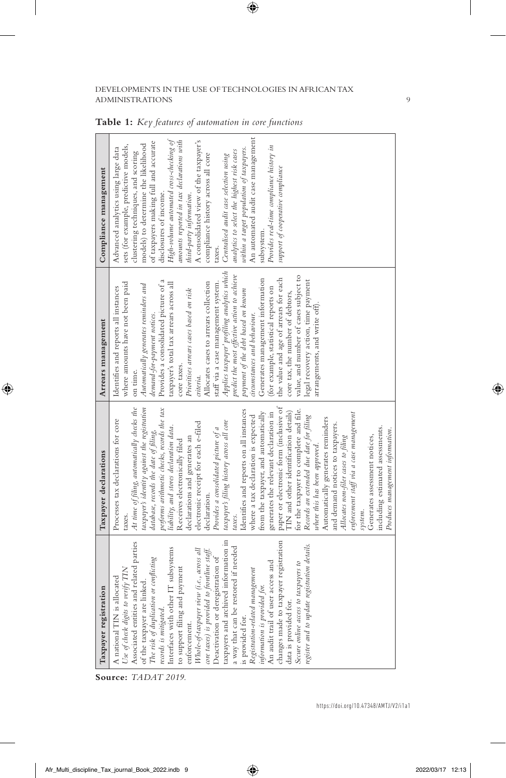| Taxpayer registration                                                                                                                                                                                                                                                                                                                                                                                                                                                                                                                                                                                                                                                                                                                                                                            | Taxpayer declarations                                                                                                                                                                                                                                                                                                                                                                                                                                                                                                                                                                                                                                                                                                                                                                                                                                                                                                                                                                                                                                                                                                                                              | Arrears management                                                                                                                                                                                                                                                                                                                                                                                                                                                                                                                                                                                                                                                                                                                                                                                                                                    | Compliance management                                                                                                                                                                                                                                                                                                                                                                                                                                                                                                                                                                                                                                                                                              |
|--------------------------------------------------------------------------------------------------------------------------------------------------------------------------------------------------------------------------------------------------------------------------------------------------------------------------------------------------------------------------------------------------------------------------------------------------------------------------------------------------------------------------------------------------------------------------------------------------------------------------------------------------------------------------------------------------------------------------------------------------------------------------------------------------|--------------------------------------------------------------------------------------------------------------------------------------------------------------------------------------------------------------------------------------------------------------------------------------------------------------------------------------------------------------------------------------------------------------------------------------------------------------------------------------------------------------------------------------------------------------------------------------------------------------------------------------------------------------------------------------------------------------------------------------------------------------------------------------------------------------------------------------------------------------------------------------------------------------------------------------------------------------------------------------------------------------------------------------------------------------------------------------------------------------------------------------------------------------------|-------------------------------------------------------------------------------------------------------------------------------------------------------------------------------------------------------------------------------------------------------------------------------------------------------------------------------------------------------------------------------------------------------------------------------------------------------------------------------------------------------------------------------------------------------------------------------------------------------------------------------------------------------------------------------------------------------------------------------------------------------------------------------------------------------------------------------------------------------|--------------------------------------------------------------------------------------------------------------------------------------------------------------------------------------------------------------------------------------------------------------------------------------------------------------------------------------------------------------------------------------------------------------------------------------------------------------------------------------------------------------------------------------------------------------------------------------------------------------------------------------------------------------------------------------------------------------------|
| information in<br>changes made to taxpayer registration<br>data is provided for.<br>Use of check digits to verify TIN<br>Associated entities and related parties of the taxpayer are linked.<br>istration details.<br>a way that can be restored if needed<br>is provided for.<br>Registration-related management<br>information is provided for.<br>An audit trail of user access and<br>The risk of duplication or conflicting<br>records is mitigated.<br>Interfaces with other IT subsystems<br>$\notag We-of-tas paper view (i.e., a cross allcore taxes) is provided to forhitture staff. Deactivation of$<br>Secure online access to taxpayers to<br>to support filing and payment<br>enforcement.<br>A national TIN is allocated<br>taxpayers and archived<br>register and to update reg | paper or electronic form (inclusive of<br>taxpayer's identity against the registration<br>At time of filing, automatically checks the<br>performs arithmetic checks, records the tax<br>Identifies and reports on all instances<br>for the taxpayer to complete and file.<br>TIN and other identification details)<br>from the taxpayer, and automatically<br>generates the relevant declaration in<br>enforcement staff via a case management<br>Records an extended due date for filing<br>where a tax declaration is expected<br>Automatically generates reminders<br>Processes tax declarations for core<br>taxpayer's filing history across all core<br>electronic receipt for each e-filed<br>and demand notices to taxpayers.<br>liability, and stores declaration data.<br>including estimated assessments.<br>Provides a consolidated picture of a<br>Produces management information.<br>database, records the date of filing,<br>Allocates non-filer cases to filing<br>Generates assessment notices,<br>declarations and generates an<br>Receives electronically filed<br>where this has been approved.<br>declaration.<br>system.<br>taxes.<br>taxes. | Applies taxpayer' profiling analytics which<br>predict the most effective action to achieve<br>value, and number of cases subject to<br>the value and age of arrears for each<br>Generates management information<br>legal recovery action, time payment<br>Provides a consolidated picture of a<br>Allocates cases to arrears collection<br>where amounts have not been paid<br>staff via a case management system.<br>taxpayer's total tax arrears across all<br>Automatically generates reminders and<br>Identifies and reports all instances<br>(for example, statistical reports on<br>Prioritises arrears cases based on risk<br>payment of the debt based on known<br>core tax, the number of debtors,<br>arrangements, and write off).<br>demand-for-payment notices.<br>circumstances and behaviour.<br>core taxes.<br>on time.<br>criteria. | An automated audit case management<br>High-volume automated cross-checking of<br>amounts reported in tax declarations with<br>A consolidated view of the taxpayer's<br>of taxpayers making full and accurate<br>models) to determine the likelihood<br>sets (for example, predictive models,<br>Provides real-time compliance history in<br>within a target population of taxpayers.<br>Advanced analytics using large data<br>analytics to select the highest risk cases<br>clustering techniques, and scoring<br>compliance history across all core<br>Centralised audit case selection using<br>support of cooperative compliance<br>disclosures of income.<br>third-party information.<br>subsystem.<br>taxes. |

**Table 1:** *Key features of automation in core functions*

**Source:** *TADAT 2019.*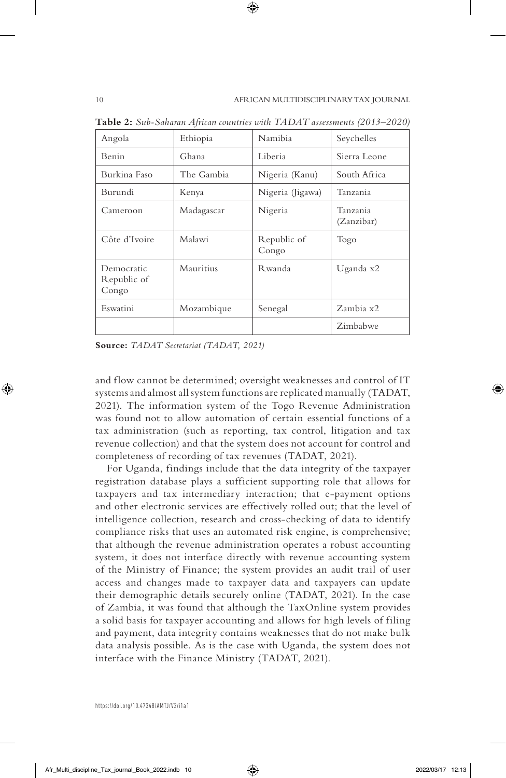| Angola                             | Ethiopia   | Namibia              | Seychelles             |
|------------------------------------|------------|----------------------|------------------------|
| Benin                              | Ghana      | Liberia              | Sierra Leone           |
| Burkina Faso                       | The Gambia | Nigeria (Kanu)       | South Africa           |
| Burundi                            | Kenya      | Nigeria (Jigawa)     | Tanzania               |
| Cameroon                           | Madagascar | Nigeria              | Tanzania<br>(Zanzibar) |
| Côte d'Ivoire                      | Malawi     | Republic of<br>Congo | Togo                   |
| Democratic<br>Republic of<br>Congo | Mauritius  | Rwanda               | Uganda x2              |
| Eswatini                           | Mozambique | Senegal              | Zambia x2              |
|                                    |            |                      | Zimbabwe               |

**Table 2:** *Sub-Saharan African countries with TADAT assessments (2013–2020)*

**Source:** *TADAT Secretariat (TADAT, 2021)*

and flow cannot be determined; oversight weaknesses and control of IT systems and almost all system functions are replicated manually (TADAT, 2021). The information system of the Togo Revenue Administration was found not to allow automation of certain essential functions of a tax administration (such as reporting, tax control, litigation and tax revenue collection) and that the system does not account for control and completeness of recording of tax revenues (TADAT, 2021).

For Uganda, findings include that the data integrity of the taxpayer registration database plays a sufficient supporting role that allows for taxpayers and tax intermediary interaction; that e-payment options and other electronic services are effectively rolled out; that the level of intelligence collection, research and cross-checking of data to identify compliance risks that uses an automated risk engine, is comprehensive; that although the revenue administration operates a robust accounting system, it does not interface directly with revenue accounting system of the Ministry of Finance; the system provides an audit trail of user access and changes made to taxpayer data and taxpayers can update their demographic details securely online (TADAT, 2021). In the case of Zambia, it was found that although the TaxOnline system provides a solid basis for taxpayer accounting and allows for high levels of filing and payment, data integrity contains weaknesses that do not make bulk data analysis possible. As is the case with Uganda, the system does not interface with the Finance Ministry (TADAT, 2021).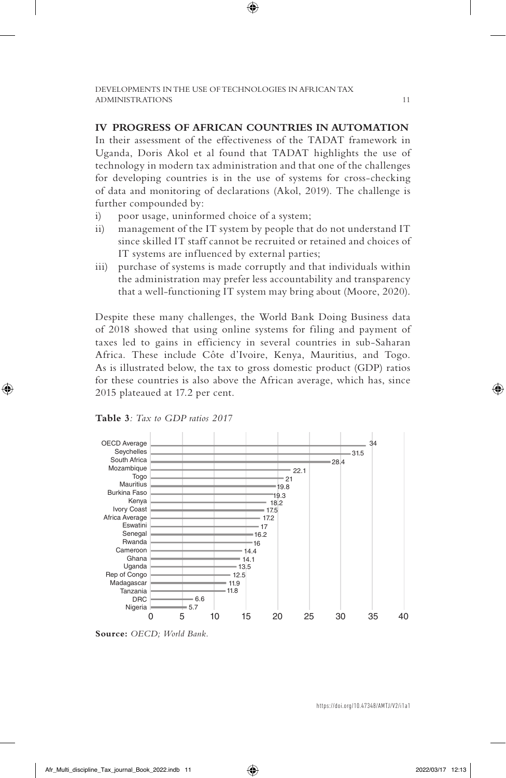### **IV PROGRESS OF AFRICAN COUNTRIES IN AUTOMATION**

In their assessment of the effectiveness of the TADAT framework in Uganda, Doris Akol et al found that TADAT highlights the use of technology in modern tax administration and that one of the challenges for developing countries is in the use of systems for cross-checking of data and monitoring of declarations (Akol, 2019). The challenge is further compounded by:

- i) poor usage, uninformed choice of a system;
- ii) management of the IT system by people that do not understand IT since skilled IT staff cannot be recruited or retained and choices of IT systems are influenced by external parties;
- iii) purchase of systems is made corruptly and that individuals within the administration may prefer less accountability and transparency that a well-functioning IT system may bring about (Moore, 2020).

Despite these many challenges, the World Bank Doing Business data of 2018 showed that using online systems for filing and payment of taxes led to gains in efficiency in several countries in sub-Saharan Africa. These include Côte d'Ivoire, Kenya, Mauritius, and Togo. As is illustrated below, the tax to gross domestic product (GDP) ratios for these countries is also above the African average, which has, since 2015 plateaued at 17.2 per cent.



**Table 3***: Tax to GDP ratios 2017*

**Source:** *OECD; World Bank.*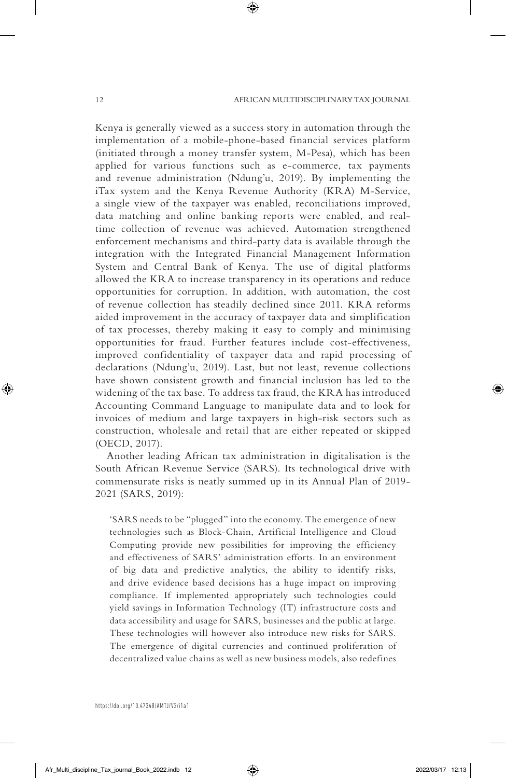Kenya is generally viewed as a success story in automation through the implementation of a mobile-phone-based financial services platform (initiated through a money transfer system, M-Pesa), which has been applied for various functions such as e-commerce, tax payments and revenue administration (Ndung'u, 2019). By implementing the iTax system and the Kenya Revenue Authority (KRA) M-Service, a single view of the taxpayer was enabled, reconciliations improved, data matching and online banking reports were enabled, and realtime collection of revenue was achieved. Automation strengthened enforcement mechanisms and third-party data is available through the integration with the Integrated Financial Management Information System and Central Bank of Kenya. The use of digital platforms allowed the KRA to increase transparency in its operations and reduce opportunities for corruption. In addition, with automation, the cost of revenue collection has steadily declined since 2011. KRA reforms aided improvement in the accuracy of taxpayer data and simplification of tax processes, thereby making it easy to comply and minimising opportunities for fraud. Further features include cost-effectiveness, improved confidentiality of taxpayer data and rapid processing of declarations (Ndung'u, 2019). Last, but not least, revenue collections have shown consistent growth and financial inclusion has led to the widening of the tax base. To address tax fraud, the KRA has introduced Accounting Command Language to manipulate data and to look for invoices of medium and large taxpayers in high-risk sectors such as construction, wholesale and retail that are either repeated or skipped (OECD, 2017).

Another leading African tax administration in digitalisation is the South African Revenue Service (SARS). Its technological drive with commensurate risks is neatly summed up in its Annual Plan of 2019- 2021 (SARS, 2019):

'SARS needs to be "plugged" into the economy. The emergence of new technologies such as Block-Chain, Artificial Intelligence and Cloud Computing provide new possibilities for improving the efficiency and effectiveness of SARS' administration efforts. In an environment of big data and predictive analytics, the ability to identify risks, and drive evidence based decisions has a huge impact on improving compliance. If implemented appropriately such technologies could yield savings in Information Technology (IT) infrastructure costs and data accessibility and usage for SARS, businesses and the public at large. These technologies will however also introduce new risks for SARS. The emergence of digital currencies and continued proliferation of decentralized value chains as well as new business models, also redefines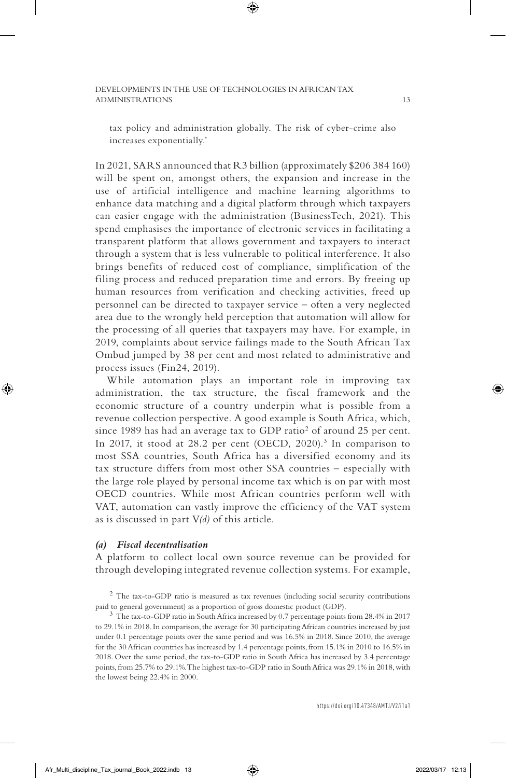tax policy and administration globally. The risk of cyber-crime also increases exponentially.'

In 2021, SARS announced that R3 billion (approximately \$206 384 160) will be spent on, amongst others, the expansion and increase in the use of artificial intelligence and machine learning algorithms to enhance data matching and a digital platform through which taxpayers can easier engage with the administration (BusinessTech, 2021). This spend emphasises the importance of electronic services in facilitating a transparent platform that allows government and taxpayers to interact through a system that is less vulnerable to political interference. It also brings benefits of reduced cost of compliance, simplification of the filing process and reduced preparation time and errors. By freeing up human resources from verification and checking activities, freed up personnel can be directed to taxpayer service – often a very neglected area due to the wrongly held perception that automation will allow for the processing of all queries that taxpayers may have. For example, in 2019, complaints about service failings made to the South African Tax Ombud jumped by 38 per cent and most related to administrative and process issues (Fin24, 2019).

While automation plays an important role in improving tax administration, the tax structure, the fiscal framework and the economic structure of a country underpin what is possible from a revenue collection perspective. A good example is South Africa, which, since 1989 has had an average tax to GDP ratio<sup>2</sup> of around 25 per cent. In 2017, it stood at 28.2 per cent (OECD, 2020).<sup>3</sup> In comparison to most SSA countries, South Africa has a diversified economy and its tax structure differs from most other SSA countries – especially with the large role played by personal income tax which is on par with most OECD countries. While most African countries perform well with VAT, automation can vastly improve the efficiency of the VAT system as is discussed in part V*(d)* of this article.

### *(a) Fiscal decentralisation*

A platform to collect local own source revenue can be provided for through developing integrated revenue collection systems. For example,

to 29.1% in 2018. In comparison, the average for 30 participating African countries increased by just under 0.1 percentage points over the same period and was 16.5% in 2018. Since 2010, the average for the 30 African countries has increased by 1.4 percentage points, from 15.1% in 2010 to 16.5% in 2018. Over the same period, the tax-to-GDP ratio in South Africa has increased by 3.4 percentage points, from 25.7% to 29.1%. The highest tax-to-GDP ratio in South Africa was 29.1% in 2018, with the lowest being 22.4% in 2000.

<sup>2</sup> The tax-to-GDP ratio is measured as tax revenues (including social security contributions paid to general government) as a proportion of gross domestic product (GDP). <sup>3</sup> The tax-to-GDP ratio in South Africa increased by 0.7 percentage points from 28.4% in 2017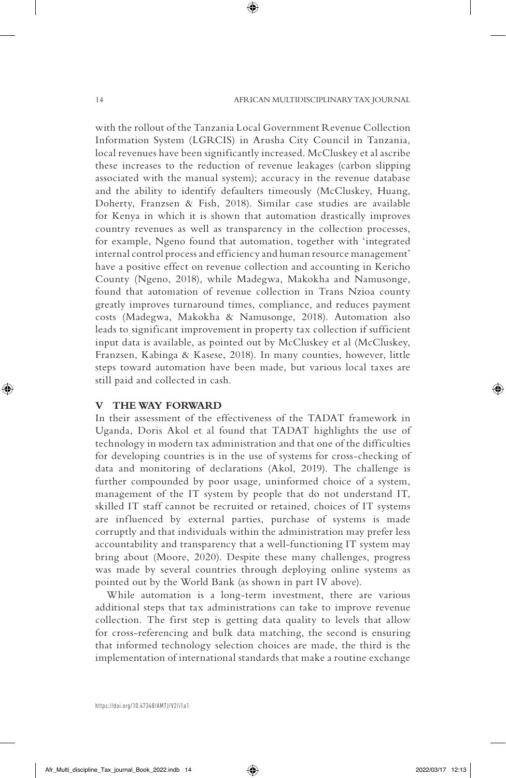with the rollout of the Tanzania Local Government Revenue Collection Information System (LGRCIS) in Arusha City Council in Tanzania, local revenues have been significantly increased. McCluskey et al ascribe these increases to the reduction of revenue leakages (carbon slipping associated with the manual system); accuracy in the revenue database and the ability to identify defaulters timeously (McCluskey, Huang, Doherty, Franzsen & Fish, 2018). Similar case studies are available for Kenya in which it is shown that automation drastically improves country revenues as well as transparency in the collection processes, for example, Ngeno found that automation, together with 'integrated internal control process and efficiency and human resource management' have a positive effect on revenue collection and accounting in Kericho County (Ngeno, 2018), while Madegwa, Makokha and Namusonge, found that automation of revenue collection in Trans Nzioa county greatly improves turnaround times, compliance, and reduces payment costs (Madegwa, Makokha & Namusonge, 2018). Automation also leads to significant improvement in property tax collection if sufficient input data is available, as pointed out by McCluskey et al (McCluskey, Franzsen, Kabinga & Kasese, 2018). In many counties, however, little steps toward automation have been made, but various local taxes are still paid and collected in cash.

#### **V THE WAY FORWARD**

In their assessment of the effectiveness of the TADAT framework in Uganda, Doris Akol et al found that TADAT highlights the use of technology in modern tax administration and that one of the difficulties for developing countries is in the use of systems for cross-checking of data and monitoring of declarations (Akol, 2019). The challenge is further compounded by poor usage, uninformed choice of a system, management of the IT system by people that do not understand IT, skilled IT staff cannot be recruited or retained, choices of IT systems are influenced by external parties, purchase of systems is made corruptly and that individuals within the administration may prefer less accountability and transparency that a well-functioning IT system may bring about (Moore, 2020). Despite these many challenges, progress was made by several countries through deploying online systems as pointed out by the World Bank (as shown in part IV above).

While automation is a long-term investment, there are various additional steps that tax administrations can take to improve revenue collection. The first step is getting data quality to levels that allow for cross-referencing and bulk data matching, the second is ensuring that informed technology selection choices are made, the third is the implementation of international standards that make a routine exchange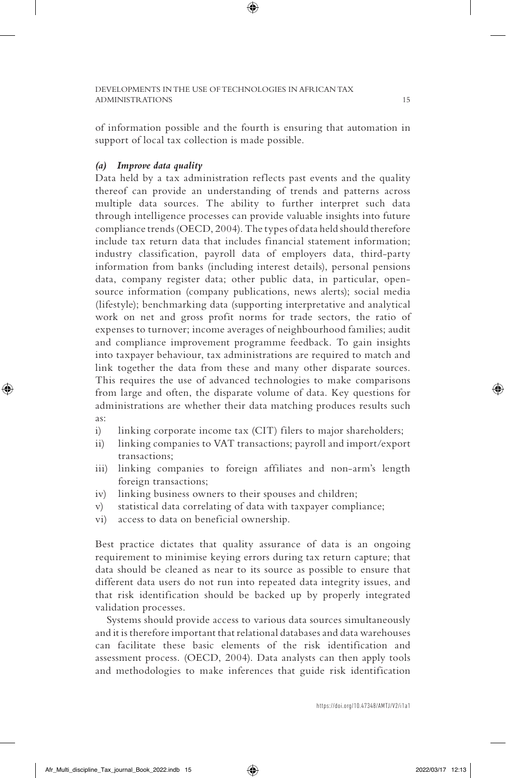of information possible and the fourth is ensuring that automation in support of local tax collection is made possible.

## *(a) Improve data quality*

Data held by a tax administration reflects past events and the quality thereof can provide an understanding of trends and patterns across multiple data sources. The ability to further interpret such data through intelligence processes can provide valuable insights into future compliance trends (OECD, 2004). The types of data held should therefore include tax return data that includes financial statement information; industry classification, payroll data of employers data, third-party information from banks (including interest details), personal pensions data, company register data; other public data, in particular, opensource information (company publications, news alerts); social media (lifestyle); benchmarking data (supporting interpretative and analytical work on net and gross profit norms for trade sectors, the ratio of expenses to turnover; income averages of neighbourhood families; audit and compliance improvement programme feedback. To gain insights into taxpayer behaviour, tax administrations are required to match and link together the data from these and many other disparate sources. This requires the use of advanced technologies to make comparisons from large and often, the disparate volume of data. Key questions for administrations are whether their data matching produces results such as:

- i) linking corporate income tax (CIT) filers to major shareholders;
- ii) linking companies to VAT transactions; payroll and import/export transactions;
- iii) linking companies to foreign affiliates and non-arm's length foreign transactions;
- iv) linking business owners to their spouses and children;
- v) statistical data correlating of data with taxpayer compliance;
- vi) access to data on beneficial ownership.

Best practice dictates that quality assurance of data is an ongoing requirement to minimise keying errors during tax return capture; that data should be cleaned as near to its source as possible to ensure that different data users do not run into repeated data integrity issues, and that risk identification should be backed up by properly integrated validation processes.

Systems should provide access to various data sources simultaneously and it is therefore important that relational databases and data warehouses can facilitate these basic elements of the risk identification and assessment process. (OECD, 2004). Data analysts can then apply tools and methodologies to make inferences that guide risk identification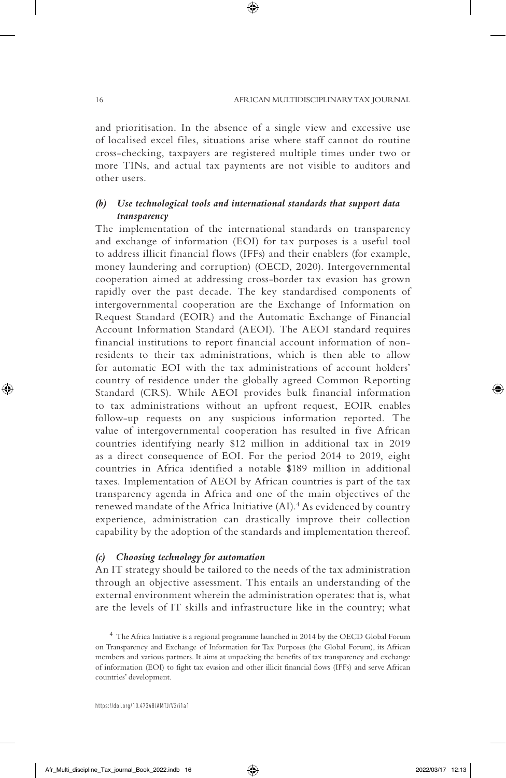and prioritisation. In the absence of a single view and excessive use of localised excel files, situations arise where staff cannot do routine cross-checking, taxpayers are registered multiple times under two or more TINs, and actual tax payments are not visible to auditors and other users.

# *(b) Use technological tools and international standards that support data transparency*

The implementation of the international standards on transparency and exchange of information (EOI) for tax purposes is a useful tool to address illicit financial flows (IFFs) and their enablers (for example, money laundering and corruption) (OECD, 2020). Intergovernmental cooperation aimed at addressing cross-border tax evasion has grown rapidly over the past decade. The key standardised components of intergovernmental cooperation are the Exchange of Information on Request Standard (EOIR) and the Automatic Exchange of Financial Account Information Standard (AEOI). The AEOI standard requires financial institutions to report financial account information of nonresidents to their tax administrations, which is then able to allow for automatic EOI with the tax administrations of account holders' country of residence under the globally agreed Common Reporting Standard (CRS). While AEOI provides bulk financial information to tax administrations without an upfront request, EOIR enables follow-up requests on any suspicious information reported. The value of intergovernmental cooperation has resulted in five African countries identifying nearly \$12 million in additional tax in 2019 as a direct consequence of EOI. For the period 2014 to 2019, eight countries in Africa identified a notable \$189 million in additional taxes. Implementation of AEOI by African countries is part of the tax transparency agenda in Africa and one of the main objectives of the renewed mandate of the Africa Initiative (AI).<sup>4</sup> As evidenced by country experience, administration can drastically improve their collection capability by the adoption of the standards and implementation thereof.

# *(c) Choosing technology for automation*

An IT strategy should be tailored to the needs of the tax administration through an objective assessment. This entails an understanding of the external environment wherein the administration operates: that is, what are the levels of IT skills and infrastructure like in the country; what

<sup>4</sup> The Africa Initiative is a regional programme launched in 2014 by the OECD Global Forum on Transparency and Exchange of Information for Tax Purposes (the Global Forum), its African members and various partners. It aims at unpacking the benefits of tax transparency and exchange of information (EOI) to fight tax evasion and other illicit financial flows (IFFs) and serve African countries' development.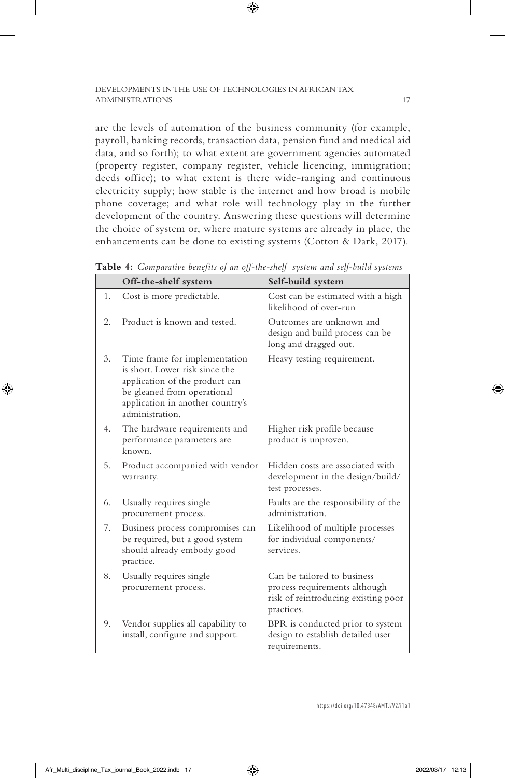are the levels of automation of the business community (for example, payroll, banking records, transaction data, pension fund and medical aid data, and so forth); to what extent are government agencies automated (property register, company register, vehicle licencing, immigration; deeds office); to what extent is there wide-ranging and continuous electricity supply; how stable is the internet and how broad is mobile phone coverage; and what role will technology play in the further development of the country. Answering these questions will determine the choice of system or, where mature systems are already in place, the enhancements can be done to existing systems (Cotton & Dark, 2017).

|    | Off-the-shelf system                                                                                                                                                                    | Self-build system                                                                                                 |
|----|-----------------------------------------------------------------------------------------------------------------------------------------------------------------------------------------|-------------------------------------------------------------------------------------------------------------------|
| 1. | Cost is more predictable.                                                                                                                                                               | Cost can be estimated with a high<br>likelihood of over-run                                                       |
| 2. | Product is known and tested.                                                                                                                                                            | Outcomes are unknown and<br>design and build process can be<br>long and dragged out.                              |
| 3. | Time frame for implementation<br>is short. Lower risk since the<br>application of the product can<br>be gleaned from operational<br>application in another country's<br>administration. | Heavy testing requirement.                                                                                        |
| 4. | The hardware requirements and<br>performance parameters are<br>known.                                                                                                                   | Higher risk profile because<br>product is unproven.                                                               |
| 5. | Product accompanied with vendor<br>warranty.                                                                                                                                            | Hidden costs are associated with<br>development in the design/build/<br>test processes.                           |
| 6. | Usually requires single<br>procurement process.                                                                                                                                         | Faults are the responsibility of the<br>administration.                                                           |
| 7. | Business process compromises can<br>be required, but a good system<br>should already embody good<br>practice.                                                                           | Likelihood of multiple processes<br>for individual components/<br>services.                                       |
| 8. | Usually requires single<br>procurement process.                                                                                                                                         | Can be tailored to business<br>process requirements although<br>risk of reintroducing existing poor<br>practices. |
| 9. | Vendor supplies all capability to<br>install, configure and support.                                                                                                                    | BPR is conducted prior to system<br>design to establish detailed user<br>requirements.                            |

**Table 4:** *Comparative benefits of an off-the-shelf system and self-build systems*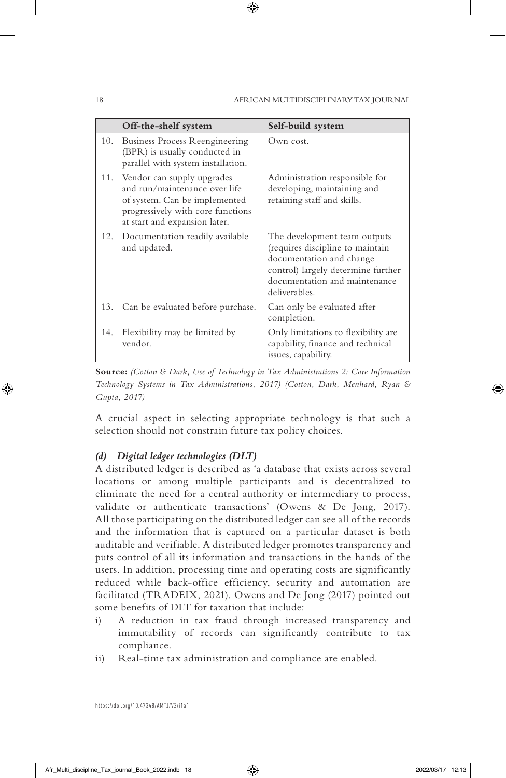|     | Off-the-shelf system                                                                                                                                               | Self-build system                                                                                                                                                                    |
|-----|--------------------------------------------------------------------------------------------------------------------------------------------------------------------|--------------------------------------------------------------------------------------------------------------------------------------------------------------------------------------|
| 10. | Business Process Reengineering<br>(BPR) is usually conducted in<br>parallel with system installation.                                                              | Own cost.                                                                                                                                                                            |
| 11. | Vendor can supply upgrades<br>and run/maintenance over life<br>of system. Can be implemented<br>progressively with core functions<br>at start and expansion later. | Administration responsible for<br>developing, maintaining and<br>retaining staff and skills.                                                                                         |
| 12. | Documentation readily available<br>and updated.                                                                                                                    | The development team outputs<br>(requires discipline to maintain<br>documentation and change<br>control) largely determine further<br>documentation and maintenance<br>deliverables. |
|     | 13. Can be evaluated before purchase.                                                                                                                              | Can only be evaluated after<br>completion.                                                                                                                                           |
| 14. | Flexibility may be limited by<br>vendor.                                                                                                                           | Only limitations to flexibility are.<br>capability, finance and technical<br>issues, capability.                                                                                     |

**Source:** *(Cotton & Dark, Use of Technology in Tax Administrations 2: Core Information Technology Systems in Tax Administrations, 2017) (Cotton, Dark, Menhard, Ryan & Gupta, 2017)*

A crucial aspect in selecting appropriate technology is that such a selection should not constrain future tax policy choices.

## *(d) Digital ledger technologies (DLT)*

A distributed ledger is described as 'a database that exists across several locations or among multiple participants and is decentralized to eliminate the need for a central authority or intermediary to process, validate or authenticate transactions' (Owens & De Jong, 2017). All those participating on the distributed ledger can see all of the records and the information that is captured on a particular dataset is both auditable and verifiable. A distributed ledger promotes transparency and puts control of all its information and transactions in the hands of the users. In addition, processing time and operating costs are significantly reduced while back-office efficiency, security and automation are facilitated (TRADEIX, 2021). Owens and De Jong (2017) pointed out some benefits of DLT for taxation that include:

- i) A reduction in tax fraud through increased transparency and immutability of records can significantly contribute to tax compliance.
- ii) Real-time tax administration and compliance are enabled.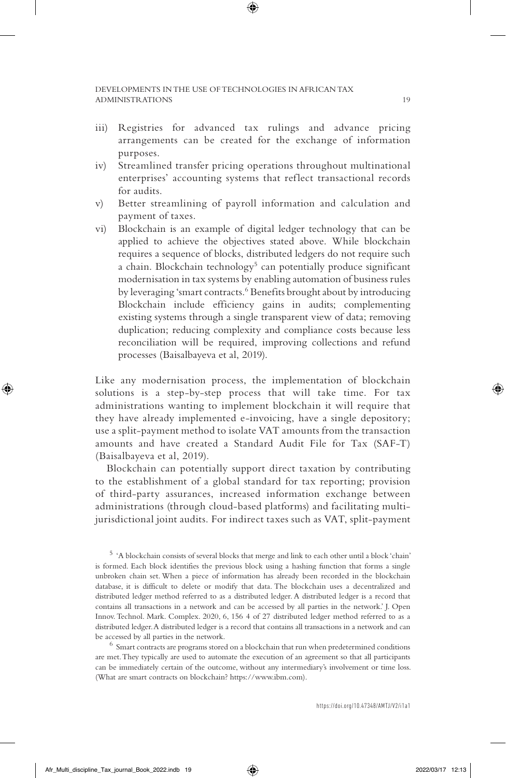- iii) Registries for advanced tax rulings and advance pricing arrangements can be created for the exchange of information purposes.
- iv) Streamlined transfer pricing operations throughout multinational enterprises' accounting systems that reflect transactional records for audits.
- v) Better streamlining of payroll information and calculation and payment of taxes.
- vi) Blockchain is an example of digital ledger technology that can be applied to achieve the objectives stated above. While blockchain requires a sequence of blocks, distributed ledgers do not require such a chain. Blockchain technology<sup>5</sup> can potentially produce significant modernisation in tax systems by enabling automation of business rules by leveraging 'smart contracts.<sup>6</sup> Benefits brought about by introducing Blockchain include efficiency gains in audits; complementing existing systems through a single transparent view of data; removing duplication; reducing complexity and compliance costs because less reconciliation will be required, improving collections and refund processes (Baisalbayeva et al, 2019).

Like any modernisation process, the implementation of blockchain solutions is a step-by-step process that will take time. For tax administrations wanting to implement blockchain it will require that they have already implemented e-invoicing, have a single depository; use a split-payment method to isolate VAT amounts from the transaction amounts and have created a Standard Audit File for Tax (SAF-T) (Baisalbayeva et al, 2019).

Blockchain can potentially support direct taxation by contributing to the establishment of a global standard for tax reporting; provision of third-party assurances, increased information exchange between administrations (through cloud-based platforms) and facilitating multijurisdictional joint audits. For indirect taxes such as VAT, split-payment

are met. They typically are used to automate the execution of an agreement so that all participants can be immediately certain of the outcome, without any intermediary's involvement or time loss. (What are smart contracts on blockchain? https://www.ibm.com).

<sup>5</sup> 'A blockchain consists of several blocks that merge and link to each other until a block 'chain' is formed. Each block identifies the previous block using a hashing function that forms a single unbroken chain set. When a piece of information has already been recorded in the blockchain database, it is difficult to delete or modify that data. The blockchain uses a decentralized and distributed ledger method referred to as a distributed ledger. A distributed ledger is a record that contains all transactions in a network and can be accessed by all parties in the network.' J. Open Innov. Technol. Mark. Complex. 2020, 6, 156 4 of 27 distributed ledger method referred to as a distributed ledger. A distributed ledger is a record that contains all transactions in a network and can be accessed by all parties in the network. <sup>6</sup> Smart contracts are programs stored on a blockchain that run when predetermined conditions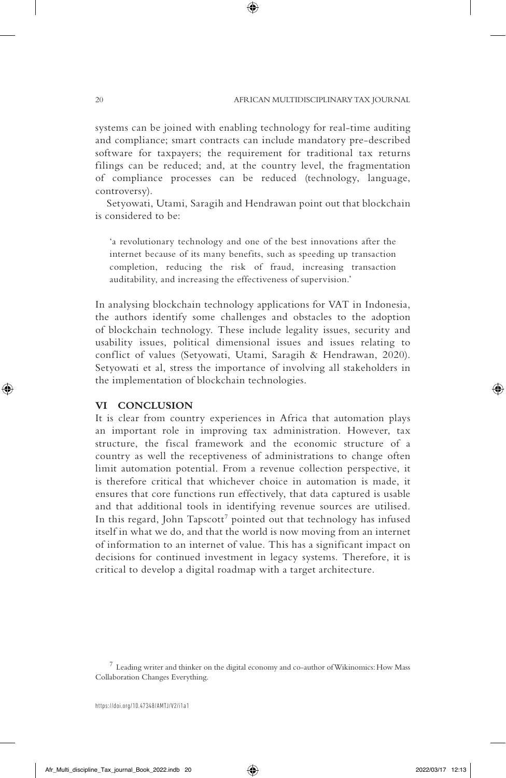systems can be joined with enabling technology for real-time auditing and compliance; smart contracts can include mandatory pre-described software for taxpayers; the requirement for traditional tax returns filings can be reduced; and, at the country level, the fragmentation of compliance processes can be reduced (technology, language, controversy).

Setyowati, Utami, Saragih and Hendrawan point out that blockchain is considered to be:

'a revolutionary technology and one of the best innovations after the internet because of its many benefits, such as speeding up transaction completion, reducing the risk of fraud, increasing transaction auditability, and increasing the effectiveness of supervision.'

In analysing blockchain technology applications for VAT in Indonesia, the authors identify some challenges and obstacles to the adoption of blockchain technology. These include legality issues, security and usability issues, political dimensional issues and issues relating to conflict of values (Setyowati, Utami, Saragih & Hendrawan, 2020). Setyowati et al, stress the importance of involving all stakeholders in the implementation of blockchain technologies.

#### **VI CONCLUSION**

It is clear from country experiences in Africa that automation plays an important role in improving tax administration. However, tax structure, the fiscal framework and the economic structure of a country as well the receptiveness of administrations to change often limit automation potential. From a revenue collection perspective, it is therefore critical that whichever choice in automation is made, it ensures that core functions run effectively, that data captured is usable and that additional tools in identifying revenue sources are utilised. In this regard, John Tapscott<sup>7</sup> pointed out that technology has infused itself in what we do, and that the world is now moving from an internet of information to an internet of value. This has a significant impact on decisions for continued investment in legacy systems. Therefore, it is critical to develop a digital roadmap with a target architecture.

 $7$  Leading writer and thinker on the digital economy and co-author of Wikinomics: How Mass Collaboration Changes Everything.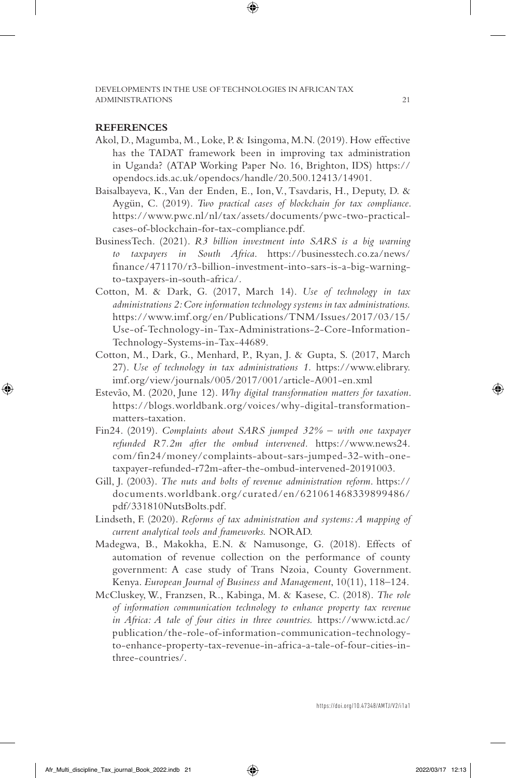### **REFERENCES**

- Akol, D., Magumba, M., Loke, P. & Isingoma, M.N. (2019). How effective has the TADAT framework been in improving tax administration in Uganda? (ATAP Working Paper No. 16, Brighton, IDS) https:// opendocs.ids.ac.uk/opendocs/handle/20.500.12413/14901.
- Baisalbayeva, K., Van der Enden, E., Ion, V., Tsavdaris, H., Deputy, D. & Aygün, C. (2019). *Two practical cases of blockchain for tax compliance*. https://www.pwc.nl/nl/tax/assets/documents/pwc-two-practicalcases-of-blockchain-for-tax-compliance.pdf.
- BusinessTech. (2021). *R3 billion investment into SARS is a big warning to taxpayers in South Africa*. https://businesstech.co.za/news/ finance/471170/r3-billion-investment-into-sars-is-a-big-warningto-taxpayers-in-south-africa/.
- Cotton, M. & Dark, G. (2017, March 14). *Use of technology in tax administrations 2: Core information technology systems in tax administrations.* https://www.imf.org/en/Publications/TNM/Issues/2017/03/15/ Use-of-Technology-in-Tax-Administrations-2-Core-Information-Technology-Systems-in-Tax-44689.
- Cotton, M., Dark, G., Menhard, P., Ryan, J. & Gupta, S. (2017, March 27). *Use of technology in tax administrations 1.* https://www.elibrary. imf.org/view/journals/005/2017/001/article-A001-en.xml
- Estevão, M. (2020, June 12). *Why digital transformation matters for taxation*. https://blogs.worldbank.org/voices/why-digital-transformationmatters-taxation.
- Fin24. (2019). *Complaints about SARS jumped 32% with one taxpayer refunded R7.2m after the ombud intervened.* https://www.news24. com/fin24/money/complaints-about-sars-jumped-32-with-onetaxpayer-refunded-r72m-after-the-ombud-intervened-20191003.
- Gill, J. (2003). *The nuts and bolts of revenue administration reform*. https:// documents.worldbank.org/curated/en/621061468339899486/ pdf/331810NutsBolts.pdf.
- Lindseth, F. (2020). *Reforms of tax administration and systems: A mapping of current analytical tools and frameworks.* NORAD.
- Madegwa, B., Makokha, E.N. & Namusonge, G. (2018). Effects of automation of revenue collection on the performance of county government: A case study of Trans Nzoia, County Government. Kenya. *European Journal of Business and Management*, 10(11), 118–124.
- McCluskey, W., Franzsen, R., Kabinga, M. & Kasese, C. (2018). *The role of information communication technology to enhance property tax revenue in Africa: A tale of four cities in three countries.* https://www.ictd.ac/ publication/the-role-of-information-communication-technologyto-enhance-property-tax-revenue-in-africa-a-tale-of-four-cities-inthree-countries/.